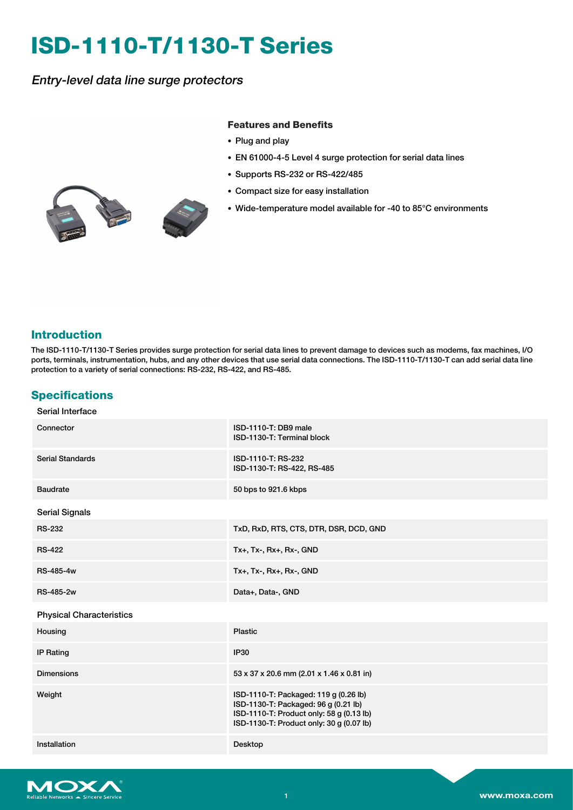# **ISD-1110-T/1130-T Series**

Entry-level data line surge protectors

#### **Features and Benefits**

- Plug and play
- EN 61000-4-5 Level 4 surge protection for serial data lines
- Supports RS-232 or RS-422/485
- Compact size for easy installation
- Wide-temperature model available for -40 to 85°C environments

# **Introduction**

The ISD-1110-T/1130-T Series provides surge protection for serial data lines to prevent damage to devices such as modems, fax machines, I/O ports, terminals, instrumentation, hubs, and any other devices that use serial data connections. The ISD-1110-T/1130-T can add serial data line protection to a variety of serial connections: RS-232, RS-422, and RS-485.

# **Specifications**

| ISD-1110-T: DB9 male<br>ISD-1130-T: Terminal block                                                                                                                    |
|-----------------------------------------------------------------------------------------------------------------------------------------------------------------------|
| ISD-1110-T: RS-232<br>ISD-1130-T: RS-422, RS-485                                                                                                                      |
| 50 bps to 921.6 kbps                                                                                                                                                  |
|                                                                                                                                                                       |
| TxD, RxD, RTS, CTS, DTR, DSR, DCD, GND                                                                                                                                |
| Tx+, Tx-, Rx+, Rx-, GND                                                                                                                                               |
| $Tx+$ , $Tx-$ , $Rx+$ , $Rx-$ , $GND$                                                                                                                                 |
| Data+, Data-, GND                                                                                                                                                     |
|                                                                                                                                                                       |
| <b>Plastic</b>                                                                                                                                                        |
| <b>IP30</b>                                                                                                                                                           |
| 53 x 37 x 20.6 mm (2.01 x 1.46 x 0.81 in)                                                                                                                             |
| ISD-1110-T: Packaged: 119 g (0.26 lb)<br>ISD-1130-T: Packaged: 96 g (0.21 lb)<br>ISD-1110-T: Product only: 58 g (0.13 lb)<br>ISD-1130-T: Product only: 30 g (0.07 lb) |
| Desktop                                                                                                                                                               |
|                                                                                                                                                                       |

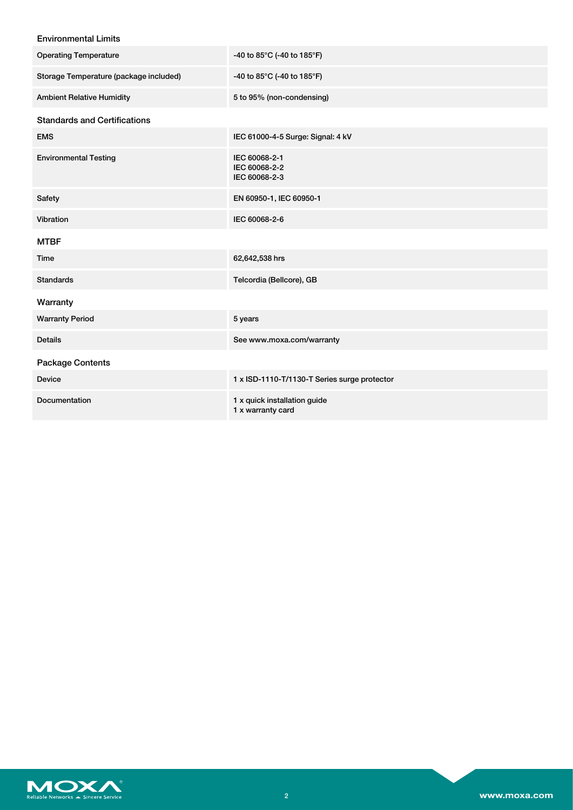### Environmental Limits

| <b>Operating Temperature</b>           | -40 to 85°C (-40 to 185°F)                        |
|----------------------------------------|---------------------------------------------------|
| Storage Temperature (package included) | -40 to 85°C (-40 to 185°F)                        |
| <b>Ambient Relative Humidity</b>       | 5 to 95% (non-condensing)                         |
| <b>Standards and Certifications</b>    |                                                   |
| <b>EMS</b>                             | IEC 61000-4-5 Surge: Signal: 4 kV                 |
| <b>Environmental Testing</b>           | IEC 60068-2-1<br>IEC 60068-2-2<br>IEC 60068-2-3   |
| Safety                                 | EN 60950-1, IEC 60950-1                           |
| Vibration                              | IEC 60068-2-6                                     |
| <b>MTBF</b>                            |                                                   |
| Time                                   | 62,642,538 hrs                                    |
| <b>Standards</b>                       | Telcordia (Bellcore), GB                          |
| Warranty                               |                                                   |
| <b>Warranty Period</b>                 | 5 years                                           |
| <b>Details</b>                         | See www.moxa.com/warranty                         |
| <b>Package Contents</b>                |                                                   |
| <b>Device</b>                          | 1 x ISD-1110-T/1130-T Series surge protector      |
| Documentation                          | 1 x quick installation guide<br>1 x warranty card |